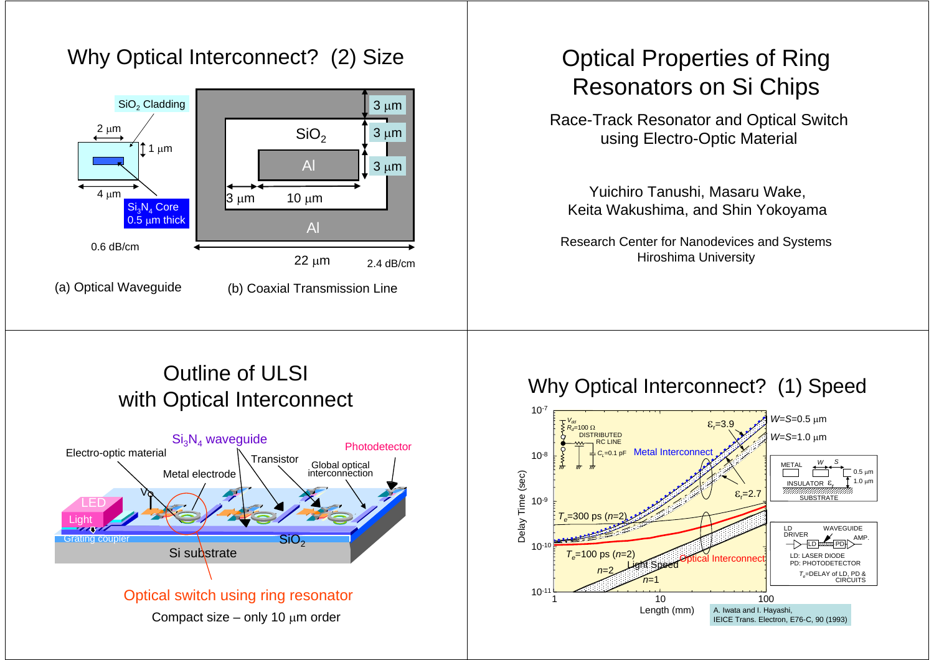# Why Optical Interconnect? (2) Size



# Optical Properties of Ring Resonators on Si Chips

Race-Track Resonator and Optical Switch using Electro-Optic Material

Yuichiro Tanushi, Masaru Wake, Keita Wakushima, and Shin Yokoyama

Research Center for Nanodevices and Systems Hiroshima University

### Outline of ULSI with Optical Interconnect



#### Why Optical Interconnect? (1) Speed

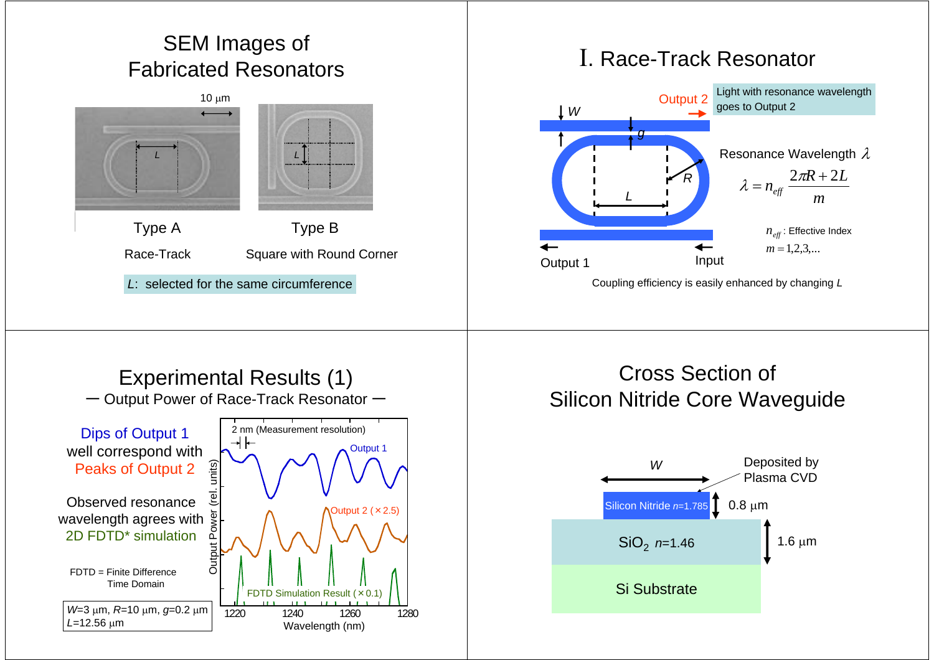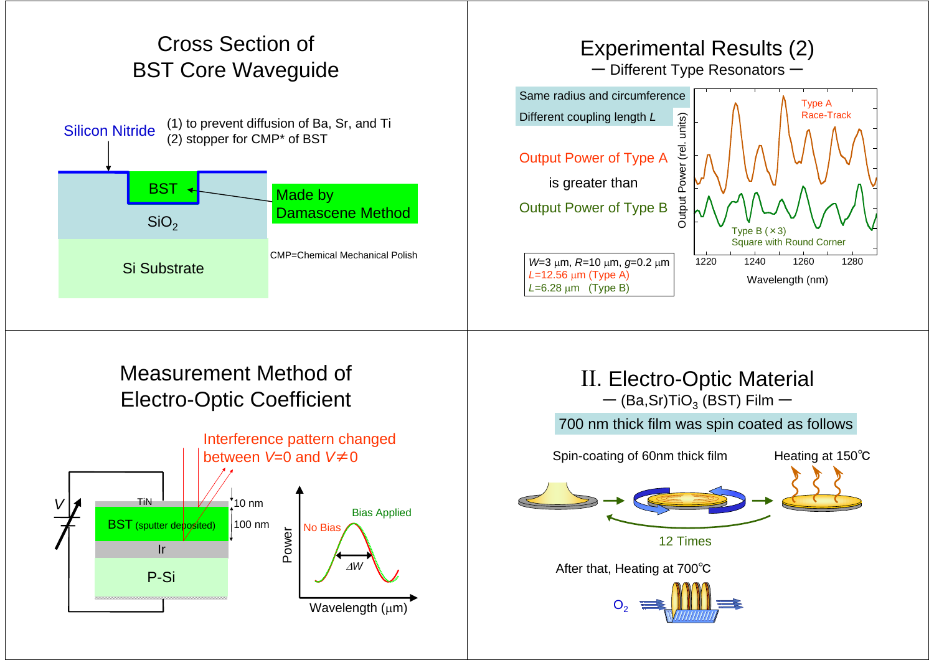